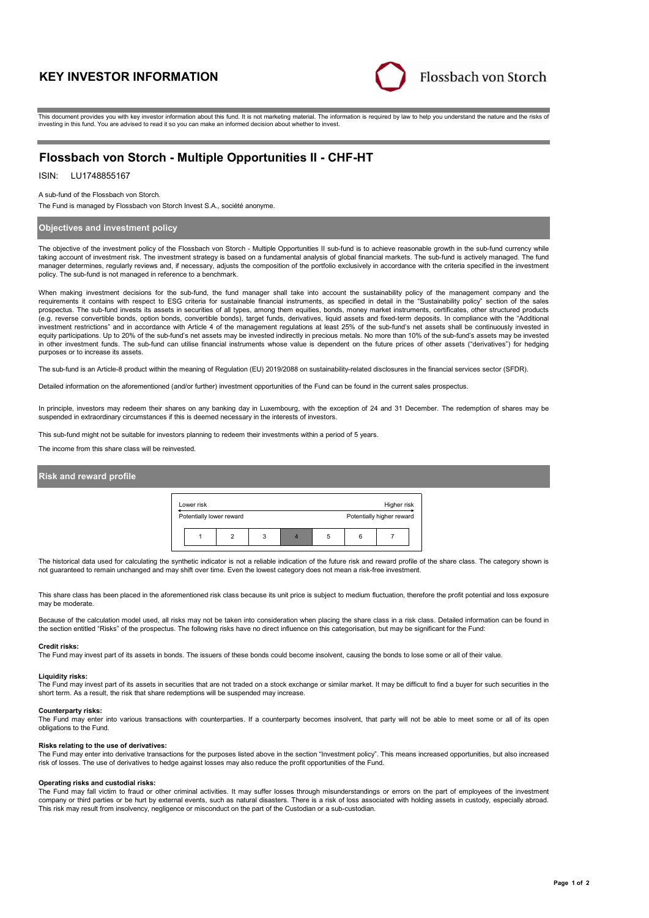# **KEY INVESTOR INFORMATION**



This document provides you with key investor information about this fund. It is not marketing material. The information is required by law to help you understand the nature and the risks of investing in this fund. You are advised to read it so you can make an informed decision about whether to invest.

# **Flossbach von Storch - Multiple Opportunities II - CHF-HT**

## ISIN: LU1748855167

A sub-fund of the Flossbach von Storch.

The Fund is managed by Flossbach von Storch Invest S.A., société anonyme.

## **Objectives and investment policy**

The objective of the investment policy of the Flossbach von Storch - Multiple Opportunities II sub-fund is to achieve reasonable growth in the sub-fund currency while taking account of investment risk. The investment strategy is based on a fundamental analysis of global financial markets. The sub-fund is actively managed. The fund manager determines, regularly reviews and, if necessary, adjusts the composition of the portfolio exclusively in accordance with the criteria specified in the investment policy. The sub-fund is not managed in reference to a benchmark.

When making investment decisions for the sub-fund, the fund manager shall take into account the sustainability policy of the management company and the requirements it contains with respect to ESG criteria for sustainable financial instruments, as specified in detail in the "Sustainability policy" section of the sales prospectus. The sub-fund invests its assets in securities of all types, among them equities, bonds, money market instruments, certificates, other structured products (e.g. reverse convertible bonds, option bonds, convertible bonds), target funds, derivatives, liquid assets and fixed-term deposits. In compliance with the "Additional investment restrictions" and in accordance with Article 4 of the management regulations at least 25% of the sub-fund's net assets shall be continuously invested in equity participations. Up to 20% of the sub-fund's net assets may be invested indirectly in precious metals. No more than 10% of the sub-fund's assets may be invested in other investment funds. The sub-fund can utilise financial instruments whose value is dependent on the future prices of other assets ("derivatives") for hedging purposes or to increase its assets.

The sub-fund is an Article-8 product within the meaning of Regulation (EU) 2019/2088 on sustainability-related disclosures in the financial services sector (SFDR).

Detailed information on the aforementioned (and/or further) investment opportunities of the Fund can be found in the current sales prospectus.

In principle, investors may redeem their shares on any banking day in Luxembourg, with the exception of 24 and 31 December. The redemption of shares may be suspended in extraordinary circumstances if this is deemed necessary in the interests of investors.

This sub-fund might not be suitable for investors planning to redeem their investments within a period of 5 years.

The income from this share class will be reinvested.

### **Risk and reward profile**



The historical data used for calculating the synthetic indicator is not a reliable indication of the future risk and reward profile of the share class. The category shown is not guaranteed to remain unchanged and may shift over time. Even the lowest category does not mean a risk-free investment.

This share class has been placed in the aforementioned risk class because its unit price is subject to medium fluctuation, therefore the profit potential and loss exposure may be moderate.

Because of the calculation model used, all risks may not be taken into consideration when placing the share class in a risk class. Detailed information can be found in the section entitled "Risks" of the prospectus. The following risks have no direct influence on this categorisation, but may be significant for the Fund:

#### **Credit risks:**

The Fund may invest part of its assets in bonds. The issuers of these bonds could become insolvent, causing the bonds to lose some or all of their value.

### **Liquidity risks:**

The Fund may invest part of its assets in securities that are not traded on a stock exchange or similar market. It may be difficult to find a buyer for such securities in the short term. As a result, the risk that share redemptions will be suspended may increase.

#### **Counterparty risks:**

The Fund may enter into various transactions with counterparties. If a counterparty becomes insolvent, that party will not be able to meet some or all of its open obligations to the Fund.

### **Risks relating to the use of derivatives:**

The Fund may enter into derivative transactions for the purposes listed above in the section "Investment policy". This means increased opportunities, but also increased risk of losses. The use of derivatives to hedge against losses may also reduce the profit opportunities of the Fund.

#### **Operating risks and custodial risks:**

The Fund may fall victim to fraud or other criminal activities. It may suffer losses through misunderstandings or errors on the part of employees of the investment company or third parties or be hurt by external events, such as natural disasters. There is a risk of loss associated with holding assets in custody, especially abroad. This risk may result from insolvency, negligence or misconduct on the part of the Custodian or a sub-custodian.